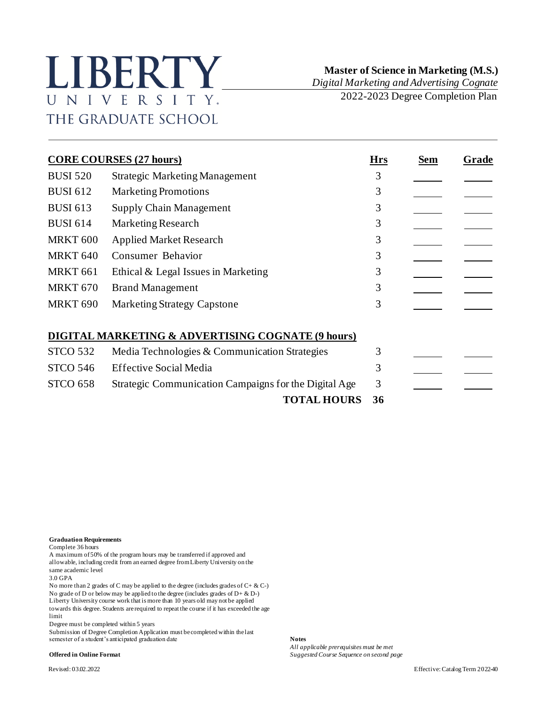## LIBERTY UNIVERSITY. THE GRADUATE SCHOOL

 **Master of Science in Marketing (M.S.)**

*Digital Marketing and Advertising Cognate*

2022-2023 Degree Completion Plan

| <b>CORE COURSES (27 hours)</b> |                                                       | <b>Hrs</b> | <b>Sem</b> | Grade |
|--------------------------------|-------------------------------------------------------|------------|------------|-------|
| <b>BUSI 520</b>                | <b>Strategic Marketing Management</b>                 | 3          |            |       |
| <b>BUSI 612</b>                | <b>Marketing Promotions</b>                           | 3          |            |       |
| <b>BUSI 613</b>                | <b>Supply Chain Management</b>                        | 3          |            |       |
| <b>BUSI 614</b>                | <b>Marketing Research</b>                             | 3          |            |       |
| <b>MRKT 600</b>                | <b>Applied Market Research</b>                        | 3          |            |       |
| <b>MRKT 640</b>                | Consumer Behavior                                     | 3          |            |       |
| MRKT <sub>661</sub>            | Ethical & Legal Issues in Marketing                   | 3          |            |       |
| <b>MRKT 670</b>                | <b>Brand Management</b>                               | 3          |            |       |
| <b>MRKT 690</b>                | <b>Marketing Strategy Capstone</b>                    | 3          |            |       |
|                                | DIGITAL MARKETING & ADVERTISING COGNATE (9 hours)     |            |            |       |
| <b>STCO 532</b>                | Media Technologies & Communication Strategies         | 3          |            |       |
| <b>STCO 546</b>                | <b>Effective Social Media</b>                         | 3          |            |       |
| <b>STCO 658</b>                | Strategic Communication Campaigns for the Digital Age | 3          |            |       |

**TOTAL HOURS 36**

**Graduation Requirements**

Complete 36 hours

A maximum of 50% of the program hours may be transferred if approved and allowable, including credit from an earned degree from Liberty University on the same academic level 3.0 GPA

No more than 2 grades of C may be applied to the degree (includes grades of C+ & C-) No grade of D or below may be applied to the degree (includes grades of D+ & D-) Liberty University course work that is more than 10 years old may not be applied towards this degree. Students are required to repeat the course if it has exceeded the age limit

Degree must be completed within 5 years

Submission of Degree Completion Application must be completed within the last semester of a student's anticipated graduation date **Notes** 

*All applicable prerequisites must be met* **Offered in Online Format** *Suggested Course Sequence on second page*